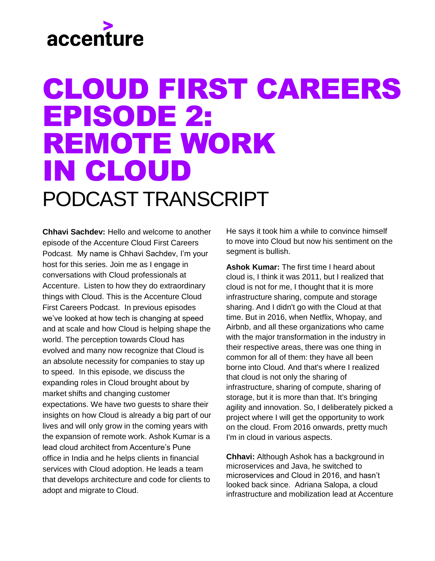# accenture

#### CLOUD FIRST CAREERS EPISODE 2: REMOTE WORK IN CLOUD PODCAST TRANSCRIPT

**Chhavi Sachdev:** Hello and welcome to another episode of the Accenture Cloud First Careers Podcast. My name is Chhavi Sachdev, I'm your host for this series. Join me as I engage in conversations with Cloud professionals at Accenture. Listen to how they do extraordinary things with Cloud. This is the Accenture Cloud First Careers Podcast. In previous episodes we've looked at how tech is changing at speed and at scale and how Cloud is helping shape the world. The perception towards Cloud has evolved and many now recognize that Cloud is an absolute necessity for companies to stay up to speed. In this episode, we discuss the expanding roles in Cloud brought about by market shifts and changing customer expectations. We have two guests to share their insights on how Cloud is already a big part of our lives and will only grow in the coming years with the expansion of remote work. Ashok Kumar is a lead cloud architect from Accenture's Pune office in India and he helps clients in financial services with Cloud adoption. He leads a team that develops architecture and code for clients to adopt and migrate to Cloud.

He says it took him a while to convince himself to move into Cloud but now his sentiment on the segment is bullish.

**Ashok Kumar:** The first time I heard about cloud is, I think it was 2011, but I realized that cloud is not for me, I thought that it is more infrastructure sharing, compute and storage sharing. And I didn't go with the Cloud at that time. But in 2016, when Netflix, Whopay, and Airbnb, and all these organizations who came with the major transformation in the industry in their respective areas, there was one thing in common for all of them: they have all been borne into Cloud. And that's where I realized that cloud is not only the sharing of infrastructure, sharing of compute, sharing of storage, but it is more than that. It's bringing agility and innovation. So, I deliberately picked a project where I will get the opportunity to work on the cloud. From 2016 onwards, pretty much I'm in cloud in various aspects.

**Chhavi:** Although Ashok has a background in microservices and Java, he switched to microservices and Cloud in 2016, and hasn't looked back since. Adriana Salopa, a cloud infrastructure and mobilization lead at Accenture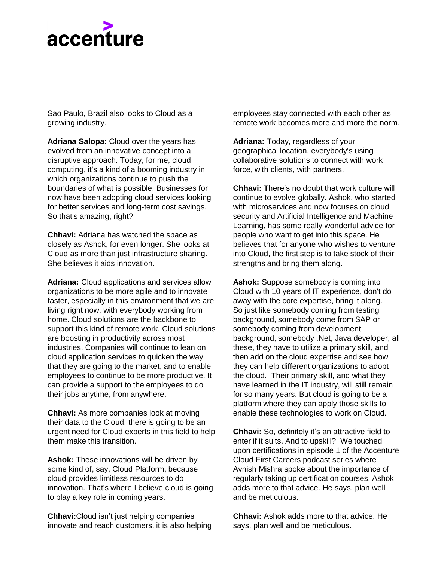## accenture

Sao Paulo, Brazil also looks to Cloud as a growing industry.

**Adriana Salopa:** Cloud over the years has evolved from an innovative concept into a disruptive approach. Today, for me, cloud computing, it's a kind of a booming industry in which organizations continue to push the boundaries of what is possible. Businesses for now have been adopting cloud services looking for better services and long-term cost savings. So that's amazing, right?

**Chhavi:** Adriana has watched the space as closely as Ashok, for even longer. She looks at Cloud as more than just infrastructure sharing. She believes it aids innovation.

**Adriana:** Cloud applications and services allow organizations to be more agile and to innovate faster, especially in this environment that we are living right now, with everybody working from home. Cloud solutions are the backbone to support this kind of remote work. Cloud solutions are boosting in productivity across most industries. Companies will continue to lean on cloud application services to quicken the way that they are going to the market, and to enable employees to continue to be more productive. It can provide a support to the employees to do their jobs anytime, from anywhere.

**Chhavi:** As more companies look at moving their data to the Cloud, there is going to be an urgent need for Cloud experts in this field to help them make this transition.

**Ashok:** These innovations will be driven by some kind of, say, Cloud Platform, because cloud provides limitless resources to do innovation. That's where I believe cloud is going to play a key role in coming years.

**Chhavi:**Cloud isn't just helping companies innovate and reach customers, it is also helping employees stay connected with each other as remote work becomes more and more the norm.

**Adriana:** Today, regardless of your geographical location, everybody's using collaborative solutions to connect with work force, with clients, with partners.

**Chhavi: T**here's no doubt that work culture will continue to evolve globally. Ashok, who started with microservices and now focuses on cloud security and Artificial Intelligence and Machine Learning, has some really wonderful advice for people who want to get into this space. He believes that for anyone who wishes to venture into Cloud, the first step is to take stock of their strengths and bring them along.

**Ashok:** Suppose somebody is coming into Cloud with 10 years of IT experience, don't do away with the core expertise, bring it along. So just like somebody coming from testing background, somebody come from SAP or somebody coming from development background, somebody .Net, Java developer, all these, they have to utilize a primary skill, and then add on the cloud expertise and see how they can help different organizations to adopt the cloud. Their primary skill, and what they have learned in the IT industry, will still remain for so many years. But cloud is going to be a platform where they can apply those skills to enable these technologies to work on Cloud.

**Chhavi:** So, definitely it's an attractive field to enter if it suits. And to upskill? We touched upon certifications in episode 1 of the Accenture Cloud First Careers podcast series where Avnish Mishra spoke about the importance of regularly taking up certification courses. Ashok adds more to that advice. He says, plan well and be meticulous.

**Chhavi:** Ashok adds more to that advice. He says, plan well and be meticulous.